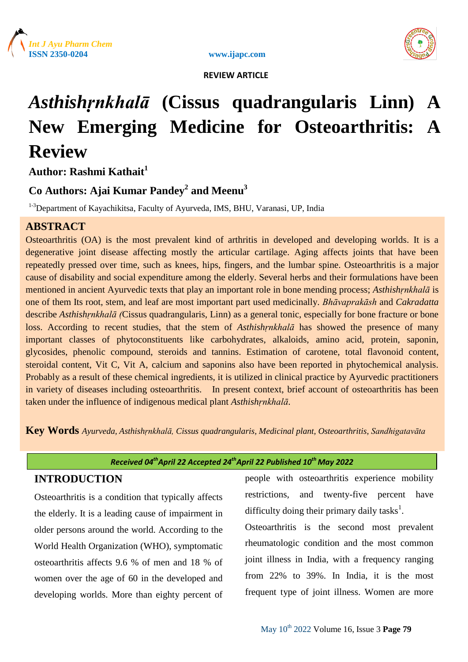





# *Asthishṛnkhalā* (Cissus quadrangularis Linn) **New Emerging Medicine for Osteoarthritis: Review**

# **Author: Rashmi Kathait<sup>1</sup>**

# **Co Authors: Ajai Kumar Pandey<sup>2</sup> and Meenu<sup>3</sup>**

<sup>1-3</sup>Department of Kayachikitsa, Faculty of Ayurveda, IMS, BHU, Varanasi, UP, India

# **ABSTRACT**

Osteoarthritis (OA) is the most prevalent kind of arthritis in developed and developing worlds. It is a degenerative joint disease affecting mostly the articular cartilage. Aging affects joints that have been repeatedly pressed over time, such as knees, hips, fingers, and the lumbar spine. Osteoarthritis is a major cause of disability and social expenditure among the elderly. Several herbs and their formulations have been mentioned in ancient Ayurvedic texts that play an important role in bone mending process; *Asthishṛnkhalā* is one of them Its root, stem, and leaf are most important part used medicinally. *Bhāvaprakāsh* and *Cakradatta*  describe *Asthishṛnkhalā (*Cissus quadrangularis, Linn) as a general tonic, especially for bone fracture or bone loss. According to recent studies, that the stem of *Asthishṛnkhalā* has showed the presence of many important classes of phytoconstituents like carbohydrates, alkaloids, amino acid, protein, saponin, glycosides, phenolic compound, steroids and tannins. Estimation of carotene, total flavonoid content, steroidal content, Vit C, Vit A, calcium and saponins also have been reported in phytochemical analysis. Probably as a result of these chemical ingredients, it is utilized in clinical practice by Ayurvedic practitioners in variety of diseases including osteoarthritis. In present context, brief account of osteoarthritis has been taken under the influence of indigenous medical plant *Asthishṛnkhalā*.

**Key Words** *Ayurveda, Asthishṛnkhalā, Cissus quadrangularis, Medicinal plant, Osteoarthritis, Sandhigatavāta*

# *Received 04thApril 22 Accepted 24thApril 22 Published 10th May 2022*

# **INTRODUCTION**

Osteoarthritis is a condition that typically affects the elderly. It is a leading cause of impairment in older persons around the world. According to the World Health Organization (WHO), symptomatic osteoarthritis affects 9.6 % of men and 18 % of women over the age of 60 in the developed and developing worlds. More than eighty percent of

people with osteoarthritis experience mobility restrictions, and twenty-five percent have difficulty doing their primary daily tasks<sup>1</sup>.

Osteoarthritis is the second most prevalent rheumatologic condition and the most common joint illness in India, with a frequency ranging from 22% to 39%. In India, it is the most frequent type of joint illness. Women are more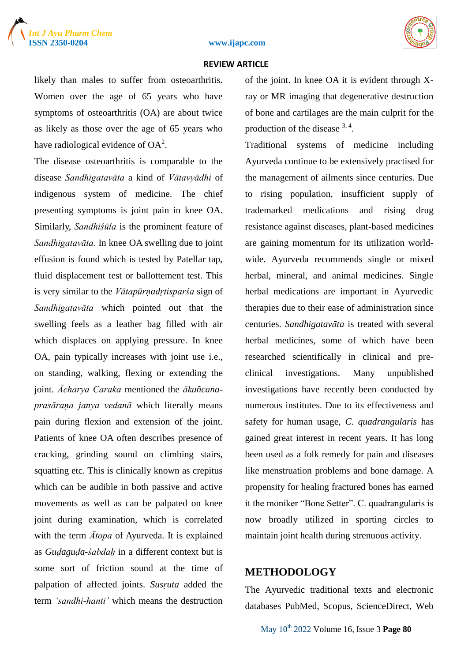





likely than males to suffer from osteoarthritis. Women over the age of 65 years who have symptoms of osteoarthritis (OA) are about twice as likely as those over the age of 65 years who have radiological evidence of  $OA^2$ .

The disease osteoarthritis is comparable to the disease *Sandhigatavāta* a kind of *Vātavyādhi* of indigenous system of medicine. The chief presenting symptoms is joint pain in knee OA. Similarly, *Sandhiśūla* is the prominent feature of *Sandhigatavāta.* In knee OA swelling due to joint effusion is found which is tested by Patellar tap, fluid displacement test or ballottement test. This is very similar to the *Vātapūrṇadṛtisparśa* sign of *Sandhigatavāta* which pointed out that the swelling feels as a leather bag filled with air which displaces on applying pressure. In knee OA, pain typically increases with joint use i.e., on standing, walking, flexing or extending the joint. *Ācharya Caraka* mentioned the *ākuñcanaprasāraṇa janya vedanā* which literally means pain during flexion and extension of the joint. Patients of knee OA often describes presence of cracking, grinding sound on climbing stairs, squatting etc. This is clinically known as crepitus which can be audible in both passive and active movements as well as can be palpated on knee joint during examination, which is correlated with the term *Ātopa* of Ayurveda. It is explained as *Guḍaguḍa-śabdaḥ* in a different context but is some sort of friction sound at the time of palpation of affected joints. *Susṛuta* added the term *'sandhi-hanti'* which means the destruction

of the joint. In knee OA it is evident through Xray or MR imaging that degenerative destruction of bone and cartilages are the main culprit for the production of the disease  $3, 4$ .

Traditional systems of medicine including Ayurveda continue to be extensively practised for the management of ailments since centuries. Due to rising population, insufficient supply of trademarked medications and rising drug resistance against diseases, plant-based medicines are gaining momentum for its utilization worldwide. Ayurveda recommends single or mixed herbal, mineral, and animal medicines. Single herbal medications are important in Ayurvedic therapies due to their ease of administration since centuries. *Sandhigatavāta* is treated with several herbal medicines, some of which have been researched scientifically in clinical and preclinical investigations. Many unpublished investigations have recently been conducted by numerous institutes. Due to its effectiveness and safety for human usage, *C. quadrangularis* has gained great interest in recent years. It has long been used as a folk remedy for pain and diseases like menstruation problems and bone damage. A propensity for healing fractured bones has earned it the moniker "Bone Setter". C. quadrangularis is now broadly utilized in sporting circles to maintain joint health during strenuous activity.

# **METHODOLOGY**

The Ayurvedic traditional texts and electronic databases PubMed, Scopus, ScienceDirect, Web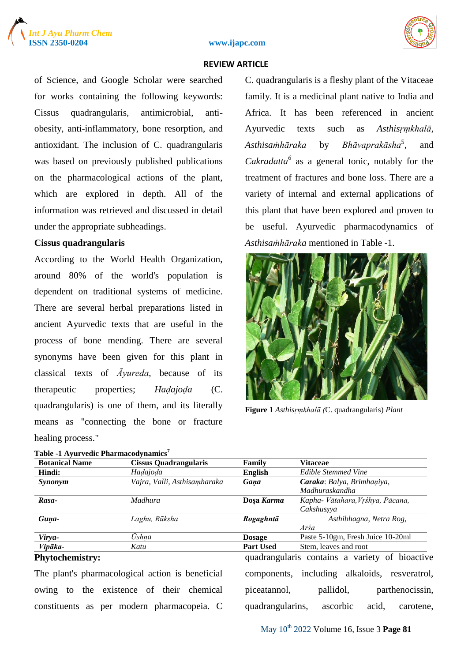





of Science, and Google Scholar were searched for works containing the following keywords: Cissus quadrangularis, antimicrobial, antiobesity, anti-inflammatory, bone resorption, and antioxidant. The inclusion of C. quadrangularis was based on previously published publications on the pharmacological actions of the plant, which are explored in depth. All of the information was retrieved and discussed in detail under the appropriate subheadings.

## **Cissus quadrangularis**

According to the World Health Organization, around 80% of the world's population is dependent on traditional systems of medicine. There are several herbal preparations listed in ancient Ayurvedic texts that are useful in the process of bone mending. There are several synonyms have been given for this plant in classical texts of *Āyureda*, because of its therapeutic properties; *Haḍajoḍa* (C. quadrangularis) is one of them, and its literally means as "connecting the bone or fracture healing process."

C. quadrangularis is a fleshy plant of the Vitaceae family. It is a medicinal plant native to India and Africa. It has been referenced in ancient Ayurvedic texts such as *Asthisṛṃkhalā*, *Asthisaṁhāraka* by *Bhāvaprakāsha*<sup>5</sup> , and *Cakradatta<sup>6</sup>* as a general tonic, notably for the treatment of fractures and bone loss. There are a variety of internal and external applications of this plant that have been explored and proven to be useful. Ayurvedic pharmacodynamics of *Asthisaṁhāraka* mentioned in Table -1.



**Figure 1** *Asthisṛṃkhalā (*C. quadrangularis) *Plant*

| Table -1 Ayurvedic Pharmacodynamics <sup>7</sup><br><b>Botanical Name</b> | <b>Cissus Quadrangularis</b> | Family           | <b>Vitaceae</b>                                |
|---------------------------------------------------------------------------|------------------------------|------------------|------------------------------------------------|
| Hindi:                                                                    | Hadajoda                     | English          | Edible Stemmed Vine                            |
| Synonym                                                                   | Vajra, Valli, Asthisamharaka | Gana             | Caraka: Balya, Brimhaniya,                     |
|                                                                           |                              |                  | Madhuraskandha                                 |
| Rasa-                                                                     | Madhura                      | Doşa Karma       | Kapha-Vātahara, Vrśhya, Pācana,                |
|                                                                           |                              |                  | Cakshussya                                     |
| Guna-                                                                     | Laghu, Rūksha                | Rogaghntā        | Asthibhagna, Netra Rog,                        |
|                                                                           |                              |                  | Arśa                                           |
| Virya-                                                                    | Ūshna                        | <b>Dosage</b>    | Paste 5-10gm, Fresh Juice 10-20ml              |
| Vipāka-                                                                   | Katu                         | <b>Part Used</b> | Stem, leaves and root                          |
| <b>Phytochemistry:</b>                                                    |                              |                  | quadrangularis contains a variety of bioactive |

The plant's pharmacological action is beneficial owing to the existence of their chemical constituents as per modern pharmacopeia. C

quadrangularins, ascorbic acid, carotene,

components, including alkaloids, resveratrol,

piceatannol, pallidol, parthenocissin,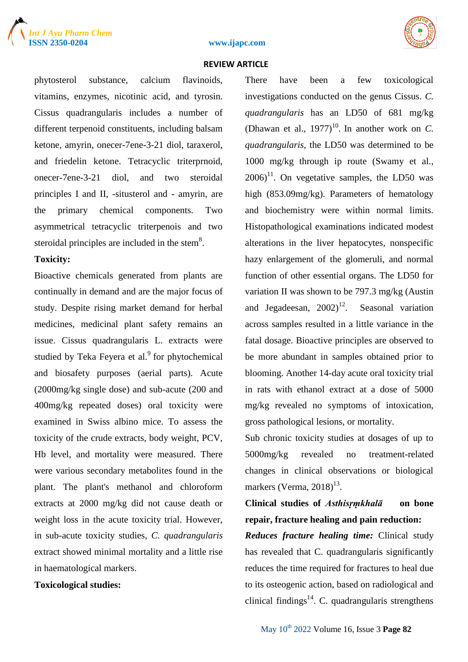





phytosterol substance, calcium flavinoids, vitamins, enzymes, nicotinic acid, and tyrosin. Cissus quadrangularis includes a number of different terpenoid constituents, including balsam ketone, amyrin, onecer-7ene-3-21 diol, taraxerol, and friedelin ketone. Tetracyclic triterprnoid, onecer-7ene-3-21 diol, and two steroidal principles I and II, -situsterol and - amyrin, are the primary chemical components. Two asymmetrical tetracyclic triterpenois and two steroidal principles are included in the stem $8$ .

# **Toxicity:**

Bioactive chemicals generated from plants are continually in demand and are the major focus of study. Despite rising market demand for herbal medicines, medicinal plant safety remains an issue. Cissus quadrangularis L. extracts were studied by Teka Feyera et al. $\degree$  for phytochemical and biosafety purposes (aerial parts). Acute (2000mg/kg single dose) and sub-acute (200 and 400mg/kg repeated doses) oral toxicity were examined in Swiss albino mice. To assess the toxicity of the crude extracts, body weight, PCV, Hb level, and mortality were measured. There were various secondary metabolites found in the plant. The plant's methanol and chloroform extracts at 2000 mg/kg did not cause death or weight loss in the acute toxicity trial. However, in sub-acute toxicity studies, *C. quadrangularis* extract showed minimal mortality and a little rise in haematological markers.

# **Toxicological studies:**

There have been a few toxicological investigations conducted on the genus Cissus. *C. quadrangularis* has an LD50 of 681 mg/kg (Dhawan et al.,  $1977$ )<sup>10</sup>. In another work on *C*. *quadrangularis*, the LD50 was determined to be 1000 mg/kg through ip route (Swamy et al.,  $2006$ <sup>11</sup>. On vegetative samples, the LD50 was high (853.09mg/kg). Parameters of hematology and biochemistry were within normal limits. Histopathological examinations indicated modest alterations in the liver hepatocytes, nonspecific hazy enlargement of the glomeruli, and normal function of other essential organs. The LD50 for variation II was shown to be 797.3 mg/kg (Austin and Jegadeesan,  $2002$ <sup>12</sup>. . Seasonal variation across samples resulted in a little variance in the fatal dosage. Bioactive principles are observed to be more abundant in samples obtained prior to blooming. Another 14-day acute oral toxicity trial in rats with ethanol extract at a dose of 5000 mg/kg revealed no symptoms of intoxication, gross pathological lesions, or mortality.

Sub chronic toxicity studies at dosages of up to 5000mg/kg revealed no treatment-related changes in clinical observations or biological markers (Verma,  $2018$ ) $^{13}$ .

**Clinical studies of** *Asthisṛṃkhalā* **on bone repair, fracture healing and pain reduction:**

*Reduces fracture healing time:* Clinical study has revealed that C. quadrangularis significantly reduces the time required for fractures to heal due to its osteogenic action, based on radiological and clinical findings $^{14}$ . C. quadrangularis strengthens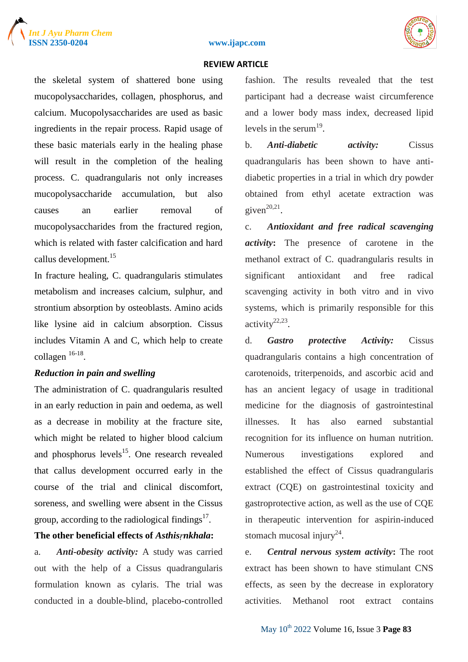





the skeletal system of shattered bone using mucopolysaccharides, collagen, phosphorus, and calcium. Mucopolysaccharides are used as basic ingredients in the repair process. Rapid usage of these basic materials early in the healing phase will result in the completion of the healing process. C. quadrangularis not only increases mucopolysaccharide accumulation, but also causes an earlier removal of mucopolysaccharides from the fractured region, which is related with faster calcification and hard callus development.<sup>15</sup>

In fracture healing, C. quadrangularis stimulates metabolism and increases calcium, sulphur, and strontium absorption by osteoblasts. Amino acids like lysine aid in calcium absorption. Cissus includes Vitamin A and C, which help to create collagen 16-18.

# *Reduction in pain and swelling*

The administration of C. quadrangularis resulted in an early reduction in pain and oedema, as well as a decrease in mobility at the fracture site, which might be related to higher blood calcium and phosphorus levels $^{15}$ . One research revealed that callus development occurred early in the course of the trial and clinical discomfort, soreness, and swelling were absent in the Cissus group, according to the radiological findings $^{17}$ .

# **The other beneficial effects of** *Asthisṛnkhala***:**

a. *Anti-obesity activity:* A study was carried out with the help of a Cissus quadrangularis formulation known as cylaris. The trial was conducted in a double-blind, placebo-controlled fashion. The results revealed that the test participant had a decrease waist circumference and a lower body mass index, decreased lipid levels in the serum $^{19}$ .

b. *Anti-diabetic activity:* Cissus quadrangularis has been shown to have antidiabetic properties in a trial in which dry powder obtained from ethyl acetate extraction was given<sup>20,21</sup>.

c. *Antioxidant and free radical scavenging activity***:** The presence of carotene in the methanol extract of C. quadrangularis results in significant antioxidant and free radical scavenging activity in both vitro and in vivo systems, which is primarily responsible for this activity $22,23$ .

d. *Gastro protective Activity:* Cissus quadrangularis contains a high concentration of carotenoids, triterpenoids, and ascorbic acid and has an ancient legacy of usage in traditional medicine for the diagnosis of gastrointestinal illnesses. It has also earned substantial recognition for its influence on human nutrition. Numerous investigations explored and established the effect of Cissus quadrangularis extract (CQE) on gastrointestinal toxicity and gastroprotective action, as well as the use of CQE in therapeutic intervention for aspirin-induced stomach mucosal injury $^{24}$ .

e. *Central nervous system activity***:** The root extract has been shown to have stimulant CNS effects, as seen by the decrease in exploratory activities. Methanol root extract contains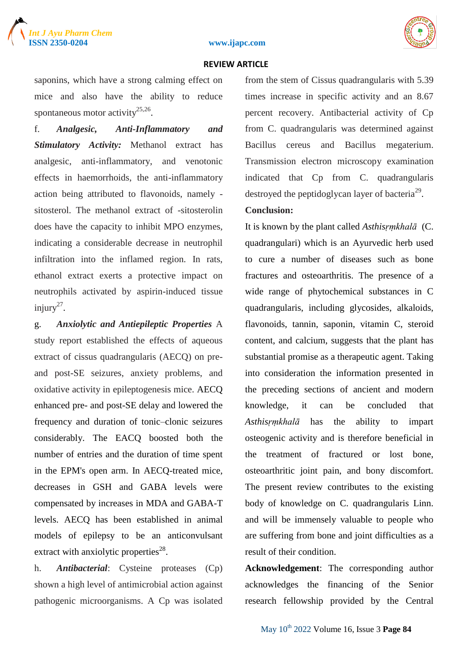





saponins, which have a strong calming effect on mice and also have the ability to reduce spontaneous motor activity<sup>25,26</sup>.

f. *Analgesic, Anti-Inflammatory and Stimulatory Activity:* Methanol extract has analgesic, anti-inflammatory, and venotonic effects in haemorrhoids, the anti-inflammatory action being attributed to flavonoids, namely sitosterol. The methanol extract of -sitosterolin does have the capacity to inhibit MPO enzymes, indicating a considerable decrease in neutrophil infiltration into the inflamed region. In rats, ethanol extract exerts a protective impact on neutrophils activated by aspirin-induced tissue  $injury<sup>27</sup>$ .

g. *Anxiolytic and Antiepileptic Properties* A study report established the effects of aqueous extract of cissus quadrangularis (AECQ) on preand post-SE seizures, anxiety problems, and oxidative activity in epileptogenesis mice. AECQ enhanced pre- and post-SE delay and lowered the frequency and duration of tonic–clonic seizures considerably. The EACQ boosted both the number of entries and the duration of time spent in the EPM's open arm. In AECQ-treated mice, decreases in GSH and GABA levels were compensated by increases in MDA and GABA-T levels. AECQ has been established in animal models of epilepsy to be an anticonvulsant extract with anxiolytic properties<sup>28</sup>.

h. *Antibacterial*: Cysteine proteases (Cp) shown a high level of antimicrobial action against pathogenic microorganisms. A Cp was isolated from the stem of Cissus quadrangularis with 5.39 times increase in specific activity and an 8.67 percent recovery. Antibacterial activity of Cp from C. quadrangularis was determined against Bacillus cereus and Bacillus megaterium. Transmission electron microscopy examination indicated that Cp from C. quadrangularis destroyed the peptidoglycan layer of bacteria<sup>29</sup>.

## **Conclusion:**

It is known by the plant called *Asthisṛṃkhalā* (C. quadrangulari) which is an Ayurvedic herb used to cure a number of diseases such as bone fractures and osteoarthritis. The presence of a wide range of phytochemical substances in C quadrangularis, including glycosides, alkaloids, flavonoids, tannin, saponin, vitamin C, steroid content, and calcium, suggests that the plant has substantial promise as a therapeutic agent. Taking into consideration the information presented in the preceding sections of ancient and modern knowledge, it can be concluded that *Asthisṛṃkhalā* has the ability to impart osteogenic activity and is therefore beneficial in the treatment of fractured or lost bone, osteoarthritic joint pain, and bony discomfort. The present review contributes to the existing body of knowledge on C. quadrangularis Linn. and will be immensely valuable to people who are suffering from bone and joint difficulties as a result of their condition.

**Acknowledgement**: The corresponding author acknowledges the financing of the Senior research fellowship provided by the Central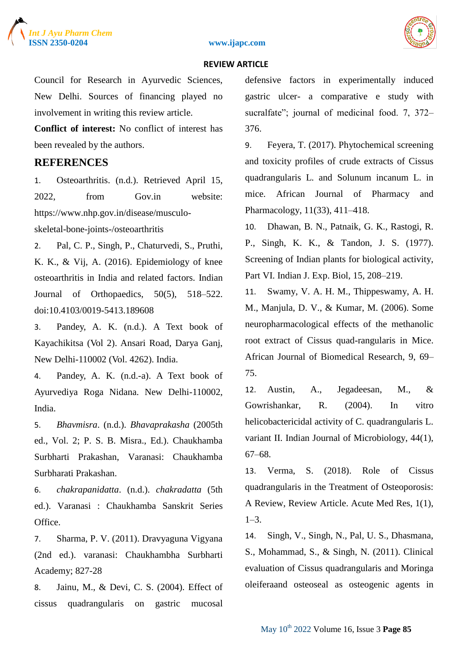



## **ISSN 2350-0204 www.ijapc.com**

## **REVIEW ARTICLE**

Council for Research in Ayurvedic Sciences, New Delhi. Sources of financing played no involvement in writing this review article.

**Conflict of interest:** No conflict of interest has been revealed by the authors.

# **REFERENCES**

1. Osteoarthritis. (n.d.). Retrieved April 15, 2022, from Gov.in website: https://www.nhp.gov.in/disease/musculoskeletal-bone-joints-/osteoarthritis

2. Pal, C. P., Singh, P., Chaturvedi, S., Pruthi, K. K., & Vij, A. (2016). Epidemiology of knee osteoarthritis in India and related factors. Indian Journal of Orthopaedics, 50(5), 518–522. doi:10.4103/0019-5413.189608

3. Pandey, A. K. (n.d.). A Text book of Kayachikitsa (Vol 2). Ansari Road, Darya Ganj, New Delhi-110002 (Vol. 4262). India.

4. Pandey, A. K. (n.d.-a). A Text book of Ayurvediya Roga Nidana. New Delhi-110002, India.

5. *Bhavmisra*. (n.d.). *Bhavaprakasha* (2005th ed., Vol. 2; P. S. B. Misra., Ed.). Chaukhamba Surbharti Prakashan, Varanasi: Chaukhamba Surbharati Prakashan.

6. *chakrapanidatta*. (n.d.). *chakradatta* (5th ed.). Varanasi : Chaukhamba Sanskrit Series Office.

7. Sharma, P. V. (2011). Dravyaguna Vigyana (2nd ed.). varanasi: Chaukhambha Surbharti Academy; 827-28

8. Jainu, M., & Devi, C. S. (2004). Effect of cissus quadrangularis on gastric mucosal defensive factors in experimentally induced gastric ulcer- a comparative e study with sucralfate"; journal of medicinal food. 7, 372– 376.

9. Feyera, T. (2017). Phytochemical screening and toxicity profiles of crude extracts of Cissus quadrangularis L. and Solunum incanum L. in mice. African Journal of Pharmacy and Pharmacology, 11(33), 411–418.

10. Dhawan, B. N., Patnaik, G. K., Rastogi, R. P., Singh, K. K., & Tandon, J. S. (1977). Screening of Indian plants for biological activity, Part VI. Indian J. Exp. Biol, 15, 208–219.

11. Swamy, V. A. H. M., Thippeswamy, A. H. M., Manjula, D. V., & Kumar, M. (2006). Some neuropharmacological effects of the methanolic root extract of Cissus quad-rangularis in Mice. African Journal of Biomedical Research, 9, 69– 75.

12. Austin, A., Jegadeesan, M., & Gowrishankar, R. (2004). In vitro helicobactericidal activity of C. quadrangularis L. variant II. Indian Journal of Microbiology, 44(1), 67–68.

13. Verma, S. (2018). Role of Cissus quadrangularis in the Treatment of Osteoporosis: A Review, Review Article. Acute Med Res, 1(1), 1–3.

14. Singh, V., Singh, N., Pal, U. S., Dhasmana, S., Mohammad, S., & Singh, N. (2011). Clinical evaluation of Cissus quadrangularis and Moringa oleiferaand osteoseal as osteogenic agents in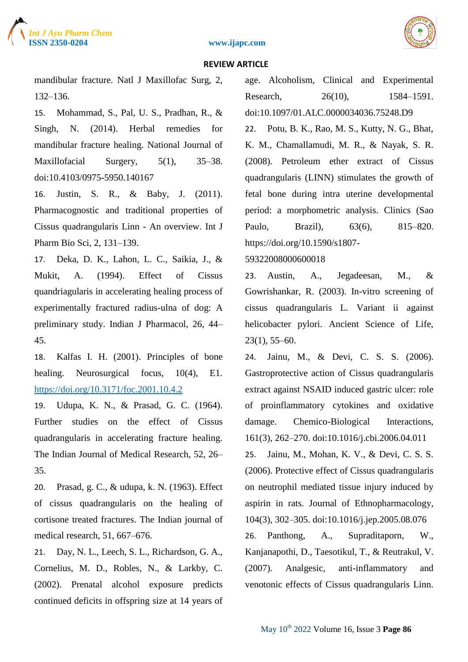





mandibular fracture. Natl J Maxillofac Surg, 2, 132–136.

15. Mohammad, S., Pal, U. S., Pradhan, R., & Singh, N. (2014). Herbal remedies for mandibular fracture healing. National Journal of Maxillofacial Surgery, 5(1), 35–38. doi:10.4103/0975-5950.140167

16. Justin, S. R., & Baby, J. (2011). Pharmacognostic and traditional properties of Cissus quadrangularis Linn - An overview. Int J Pharm Bio Sci, 2, 131–139.

17. Deka, D. K., Lahon, L. C., Saikia, J., & Mukit, A. (1994). Effect of Cissus quandriagularis in accelerating healing process of experimentally fractured radius-ulna of dog: A preliminary study. Indian J Pharmacol, 26, 44– 45.

18. Kalfas I. H. (2001). Principles of bone healing. Neurosurgical focus, 10(4), E1. [https://doi.org/10.3171/foc.2001.10.4.2](about:blank)

19. Udupa, K. N., & Prasad, G. C. (1964). Further studies on the effect of Cissus quadrangularis in accelerating fracture healing. The Indian Journal of Medical Research, 52, 26– 35.

20. Prasad, g. C., & udupa, k. N. (1963). Effect of cissus quadrangularis on the healing of cortisone treated fractures. The Indian journal of medical research, 51, 667–676.

21. Day, N. L., Leech, S. L., Richardson, G. A., Cornelius, M. D., Robles, N., & Larkby, C. (2002). Prenatal alcohol exposure predicts continued deficits in offspring size at 14 years of age. Alcoholism, Clinical and Experimental Research, 26(10), 1584–1591. doi:10.1097/01.ALC.0000034036.75248.D9 22. Potu, B. K., Rao, M. S., Kutty, N. G., Bhat, K. M., Chamallamudi, M. R., & Nayak, S. R. (2008). Petroleum ether extract of Cissus quadrangularis (LINN) stimulates the growth of fetal bone during intra uterine developmental period: a morphometric analysis. Clinics (Sao Paulo, Brazil), 63(6), 815–820. https://doi.org/10.1590/s1807-

59322008000600018

23. Austin, A., Jegadeesan, M., & Gowrishankar, R. (2003). In-vitro screening of cissus quadrangularis L. Variant ii against helicobacter pylori. Ancient Science of Life, 23(1), 55–60.

24. Jainu, M., & Devi, C. S. S. (2006). Gastroprotective action of Cissus quadrangularis extract against NSAID induced gastric ulcer: role of proinflammatory cytokines and oxidative damage. Chemico-Biological Interactions, 161(3), 262–270. doi:10.1016/j.cbi.2006.04.011

25. Jainu, M., Mohan, K. V., & Devi, C. S. S. (2006). Protective effect of Cissus quadrangularis on neutrophil mediated tissue injury induced by aspirin in rats. Journal of Ethnopharmacology, 104(3), 302–305. doi:10.1016/j.jep.2005.08.076

26. Panthong, A., Supraditaporn, W., Kanjanapothi, D., Taesotikul, T., & Reutrakul, V. (2007). Analgesic, anti-inflammatory and venotonic effects of Cissus quadrangularis Linn.